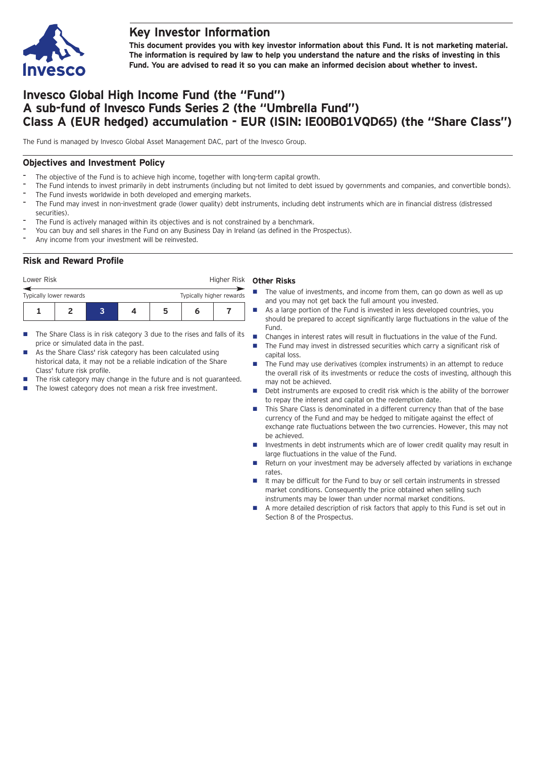

## **Key Investor Information**

**This document provides you with key investor information about this Fund. It is not marketing material.** The information is required by law to help you understand the nature and the risks of investing in this **Fund. You are advised to read it so you can make an informed decision about whether to invest.**

# **Invesco Global High Income Fund (the "Fund") A sub-fund of Invesco Funds Series 2 (the "Umbrella Fund") Class A (EUR hedged) accumulation - EUR (ISIN: IE00B01VQD65) (the "Share Class")**

The Fund is managed by Invesco Global Asset Management DAC, part of the Invesco Group.

## **Objectives and Investment Policy**

- The objective of the Fund is to achieve high income, together with long-term capital growth.
- The Fund intends to invest primarily in debt instruments (including but not limited to debt issued by governments and companies, and convertible bonds). The Fund invests worldwide in both developed and emerging markets.
- The Fund may invest in non-investment grade (lower quality) debt instruments, including debt instruments which are in financial distress (distressed securities).
- The Fund is actively managed within its objectives and is not constrained by a benchmark.
- You can buy and sell shares in the Fund on any Business Day in Ireland (as defined in the Prospectus).
- Any income from your investment will be reinvested.

## **Risk and Reward Profile**

| Lower Risk              |  |  |  | Higher Risk |                          |  |  |
|-------------------------|--|--|--|-------------|--------------------------|--|--|
| Typically lower rewards |  |  |  |             | Typically higher rewards |  |  |
|                         |  |  |  | 5           | n                        |  |  |

- $\blacksquare$  The Share Class is in risk category 3 due to the rises and falls of its price or simulated data in the past.
- As the Share Class' risk category has been calculated using historical data, it may not be a reliable indication of the Share Class' future risk profile.
- The risk category may change in the future and is not guaranteed.
- $\blacksquare$  The lowest category does not mean a risk free investment.

#### **Other Risks**

- $\blacksquare$  The value of investments, and income from them, can go down as well as up and you may not get back the full amount you invested.
- **n** As a large portion of the Fund is invested in less developed countries, you should be prepared to accept significantly large fluctuations in the value of the Fund.
- Changes in interest rates will result in fluctuations in the value of the Fund.
- The Fund may invest in distressed securities which carry a significant risk of capital loss.
- The Fund may use derivatives (complex instruments) in an attempt to reduce the overall risk of its investments or reduce the costs of investing, although this may not be achieved.
- Debt instruments are exposed to credit risk which is the ability of the borrower to repay the interest and capital on the redemption date.
- This Share Class is denominated in a different currency than that of the base currency of the Fund and may be hedged to mitigate against the effect of exchange rate fluctuations between the two currencies. However, this may not be achieved.
- Investments in debt instruments which are of lower credit quality may result in large fluctuations in the value of the Fund.
- n Return on your investment may be adversely affected by variations in exchange rates.
- $\blacksquare$  It may be difficult for the Fund to buy or sell certain instruments in stressed market conditions. Consequently the price obtained when selling such instruments may be lower than under normal market conditions.
- A more detailed description of risk factors that apply to this Fund is set out in Section 8 of the Prospectus.